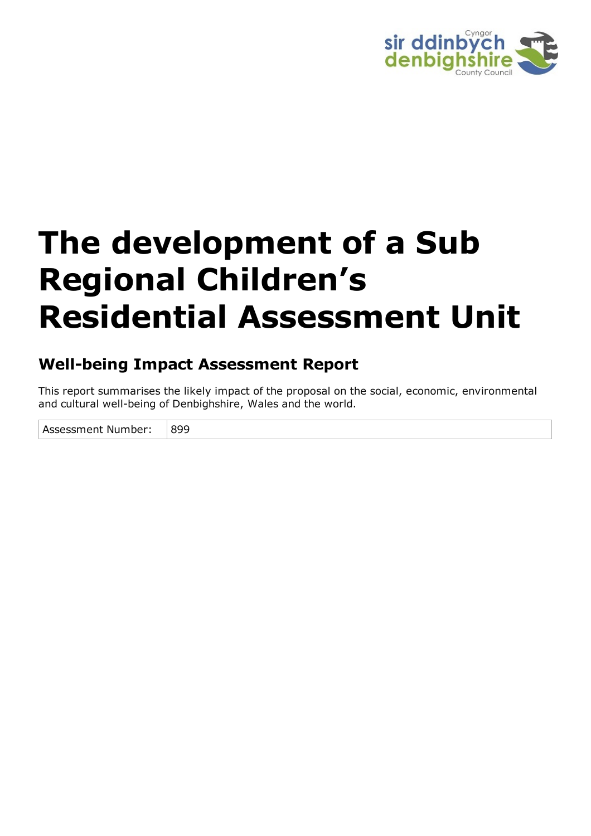

# **The development of a Sub Regional Children's Residential Assessment Unit**

## **Well-being Impact Assessment Report**

This report summarises the likely impact of the proposal on the social, economic, environmental and cultural well-being of Denbighshire, Wales and the world.

Assessment Number: 899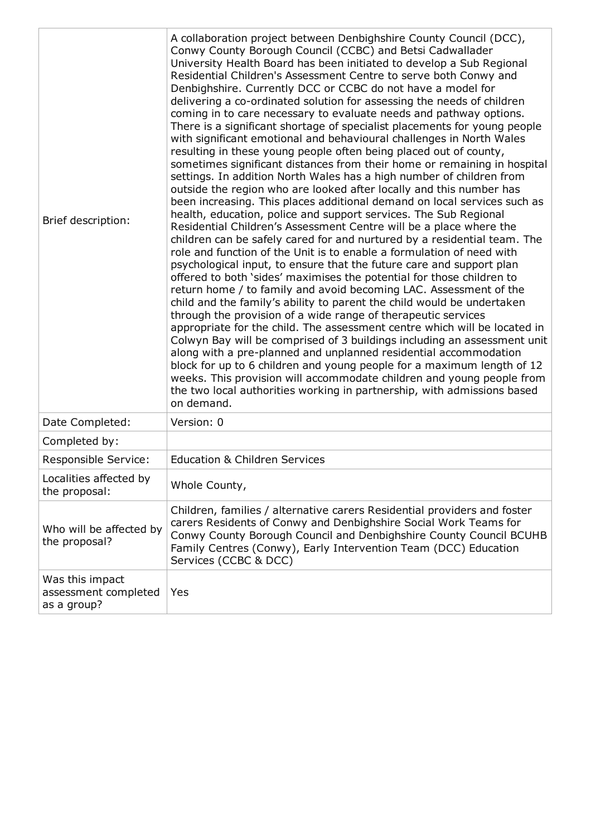| Brief description:                                     | A collaboration project between Denbighshire County Council (DCC),<br>Conwy County Borough Council (CCBC) and Betsi Cadwallader<br>University Health Board has been initiated to develop a Sub Regional<br>Residential Children's Assessment Centre to serve both Conwy and<br>Denbighshire. Currently DCC or CCBC do not have a model for<br>delivering a co-ordinated solution for assessing the needs of children<br>coming in to care necessary to evaluate needs and pathway options.<br>There is a significant shortage of specialist placements for young people<br>with significant emotional and behavioural challenges in North Wales<br>resulting in these young people often being placed out of county,<br>sometimes significant distances from their home or remaining in hospital<br>settings. In addition North Wales has a high number of children from<br>outside the region who are looked after locally and this number has<br>been increasing. This places additional demand on local services such as<br>health, education, police and support services. The Sub Regional<br>Residential Children's Assessment Centre will be a place where the<br>children can be safely cared for and nurtured by a residential team. The<br>role and function of the Unit is to enable a formulation of need with<br>psychological input, to ensure that the future care and support plan<br>offered to both 'sides' maximises the potential for those children to<br>return home / to family and avoid becoming LAC. Assessment of the<br>child and the family's ability to parent the child would be undertaken<br>through the provision of a wide range of therapeutic services<br>appropriate for the child. The assessment centre which will be located in<br>Colwyn Bay will be comprised of 3 buildings including an assessment unit<br>along with a pre-planned and unplanned residential accommodation<br>block for up to 6 children and young people for a maximum length of 12<br>weeks. This provision will accommodate children and young people from<br>the two local authorities working in partnership, with admissions based<br>on demand. |
|--------------------------------------------------------|----------------------------------------------------------------------------------------------------------------------------------------------------------------------------------------------------------------------------------------------------------------------------------------------------------------------------------------------------------------------------------------------------------------------------------------------------------------------------------------------------------------------------------------------------------------------------------------------------------------------------------------------------------------------------------------------------------------------------------------------------------------------------------------------------------------------------------------------------------------------------------------------------------------------------------------------------------------------------------------------------------------------------------------------------------------------------------------------------------------------------------------------------------------------------------------------------------------------------------------------------------------------------------------------------------------------------------------------------------------------------------------------------------------------------------------------------------------------------------------------------------------------------------------------------------------------------------------------------------------------------------------------------------------------------------------------------------------------------------------------------------------------------------------------------------------------------------------------------------------------------------------------------------------------------------------------------------------------------------------------------------------------------------------------------------------------------------------------------------------------------------------------------------------------|
| Date Completed:                                        | Version: 0                                                                                                                                                                                                                                                                                                                                                                                                                                                                                                                                                                                                                                                                                                                                                                                                                                                                                                                                                                                                                                                                                                                                                                                                                                                                                                                                                                                                                                                                                                                                                                                                                                                                                                                                                                                                                                                                                                                                                                                                                                                                                                                                                           |
| Completed by:                                          |                                                                                                                                                                                                                                                                                                                                                                                                                                                                                                                                                                                                                                                                                                                                                                                                                                                                                                                                                                                                                                                                                                                                                                                                                                                                                                                                                                                                                                                                                                                                                                                                                                                                                                                                                                                                                                                                                                                                                                                                                                                                                                                                                                      |
| Responsible Service:                                   | <b>Education &amp; Children Services</b>                                                                                                                                                                                                                                                                                                                                                                                                                                                                                                                                                                                                                                                                                                                                                                                                                                                                                                                                                                                                                                                                                                                                                                                                                                                                                                                                                                                                                                                                                                                                                                                                                                                                                                                                                                                                                                                                                                                                                                                                                                                                                                                             |
| Localities affected by<br>the proposal:                | Whole County,                                                                                                                                                                                                                                                                                                                                                                                                                                                                                                                                                                                                                                                                                                                                                                                                                                                                                                                                                                                                                                                                                                                                                                                                                                                                                                                                                                                                                                                                                                                                                                                                                                                                                                                                                                                                                                                                                                                                                                                                                                                                                                                                                        |
| Who will be affected by<br>the proposal?               | Children, families / alternative carers Residential providers and foster<br>carers Residents of Conwy and Denbighshire Social Work Teams for<br>Conwy County Borough Council and Denbighshire County Council BCUHB<br>Family Centres (Conwy), Early Intervention Team (DCC) Education<br>Services (CCBC & DCC)                                                                                                                                                                                                                                                                                                                                                                                                                                                                                                                                                                                                                                                                                                                                                                                                                                                                                                                                                                                                                                                                                                                                                                                                                                                                                                                                                                                                                                                                                                                                                                                                                                                                                                                                                                                                                                                       |
| Was this impact<br>assessment completed<br>as a group? | Yes                                                                                                                                                                                                                                                                                                                                                                                                                                                                                                                                                                                                                                                                                                                                                                                                                                                                                                                                                                                                                                                                                                                                                                                                                                                                                                                                                                                                                                                                                                                                                                                                                                                                                                                                                                                                                                                                                                                                                                                                                                                                                                                                                                  |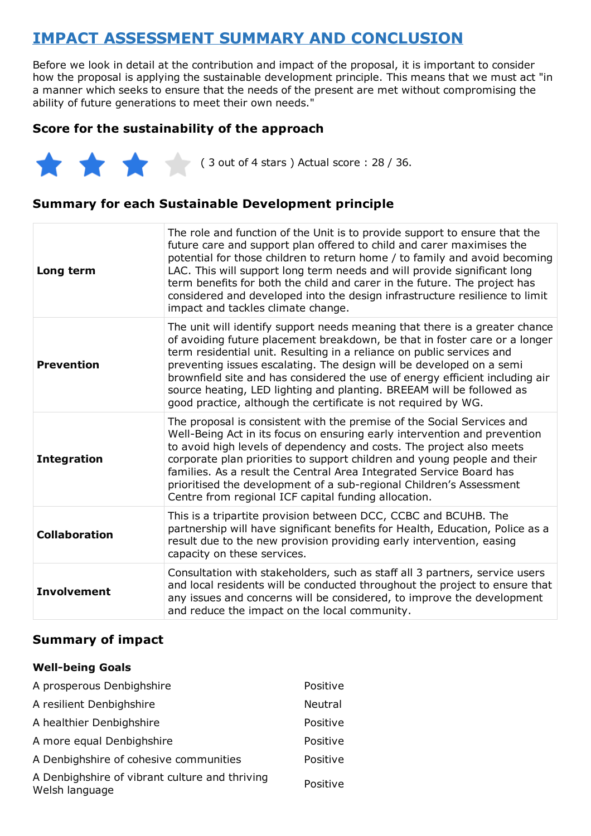## **IMPACT ASSESSMENT SUMMARY AND CONCLUSION**

Before we look in detail at the contribution and impact of the proposal, it is important to consider how the proposal is applying the sustainable development principle. This means that we must act "in a manner which seeks to ensure that the needs of the present are met without compromising the ability of future generations to meet their own needs."

#### **Score for the sustainability of the approach**

 $(3 \text{ out of 4 stars})$  Actual score : 28 / 36.

#### **Summary for each Sustainable Development principle**

| Long term            | The role and function of the Unit is to provide support to ensure that the<br>future care and support plan offered to child and carer maximises the<br>potential for those children to return home / to family and avoid becoming<br>LAC. This will support long term needs and will provide significant long<br>term benefits for both the child and carer in the future. The project has<br>considered and developed into the design infrastructure resilience to limit<br>impact and tackles climate change.                       |
|----------------------|---------------------------------------------------------------------------------------------------------------------------------------------------------------------------------------------------------------------------------------------------------------------------------------------------------------------------------------------------------------------------------------------------------------------------------------------------------------------------------------------------------------------------------------|
| <b>Prevention</b>    | The unit will identify support needs meaning that there is a greater chance<br>of avoiding future placement breakdown, be that in foster care or a longer<br>term residential unit. Resulting in a reliance on public services and<br>preventing issues escalating. The design will be developed on a semi<br>brownfield site and has considered the use of energy efficient including air<br>source heating, LED lighting and planting. BREEAM will be followed as<br>good practice, although the certificate is not required by WG. |
| <b>Integration</b>   | The proposal is consistent with the premise of the Social Services and<br>Well-Being Act in its focus on ensuring early intervention and prevention<br>to avoid high levels of dependency and costs. The project also meets<br>corporate plan priorities to support children and young people and their<br>families. As a result the Central Area Integrated Service Board has<br>prioritised the development of a sub-regional Children's Assessment<br>Centre from regional ICF capital funding allocation.                         |
| <b>Collaboration</b> | This is a tripartite provision between DCC, CCBC and BCUHB. The<br>partnership will have significant benefits for Health, Education, Police as a<br>result due to the new provision providing early intervention, easing<br>capacity on these services.                                                                                                                                                                                                                                                                               |
| <b>Involvement</b>   | Consultation with stakeholders, such as staff all 3 partners, service users<br>and local residents will be conducted throughout the project to ensure that<br>any issues and concerns will be considered, to improve the development<br>and reduce the impact on the local community.                                                                                                                                                                                                                                                 |

#### **Summary of impact**

#### **Well-being Goals**

| A prosperous Denbighshire                                        | Positive       |
|------------------------------------------------------------------|----------------|
| A resilient Denbighshire                                         | <b>Neutral</b> |
| A healthier Denbighshire                                         | Positive       |
| A more equal Denbighshire                                        | Positive       |
| A Denbighshire of cohesive communities                           | Positive       |
| A Denbighshire of vibrant culture and thriving<br>Welsh language | Positive       |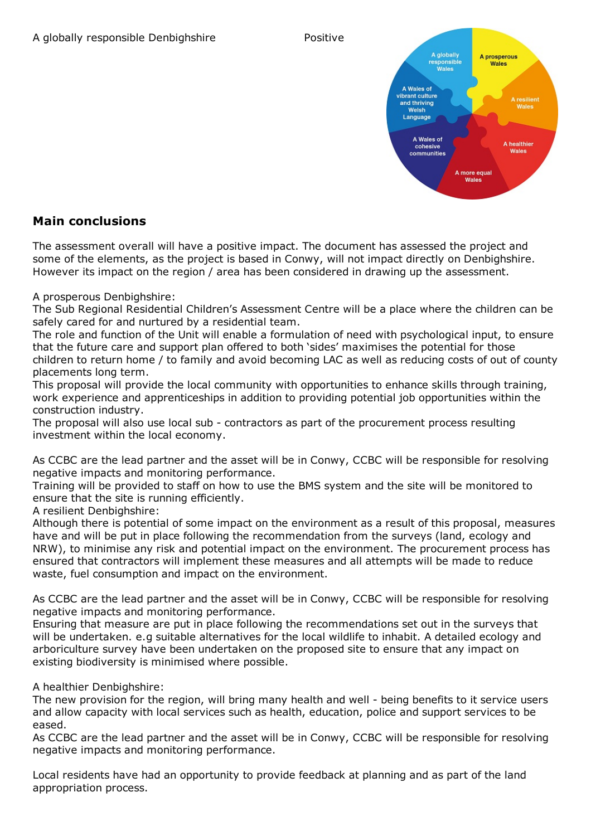

#### **Main conclusions**

The assessment overall will have a positive impact. The document has assessed the project and some of the elements, as the project is based in Conwy, will not impact directly on Denbighshire. However its impact on the region / area has been considered in drawing up the assessment.

A prosperous Denbighshire:

The Sub Regional Residential Children's Assessment Centre will be a place where the children can be safely cared for and nurtured by a residential team.

The role and function of the Unit will enable a formulation of need with psychological input, to ensure that the future care and support plan offered to both 'sides' maximises the potential for those children to return home / to family and avoid becoming LAC as well as reducing costs of out of county placements long term.

This proposal will provide the local community with opportunities to enhance skills through training, work experience and apprenticeships in addition to providing potential job opportunities within the construction industry.

The proposal will also use local sub - contractors as part of the procurement process resulting investment within the local economy.

As CCBC are the lead partner and the asset will be in Conwy, CCBC will be responsible for resolving negative impacts and monitoring performance.

Training will be provided to staff on how to use the BMS system and the site will be monitored to ensure that the site is running efficiently.

A resilient Denbighshire:

Although there is potential of some impact on the environment as a result of this proposal, measures have and will be put in place following the recommendation from the surveys (land, ecology and NRW), to minimise any risk and potential impact on the environment. The procurement process has ensured that contractors will implement these measures and all attempts will be made to reduce waste, fuel consumption and impact on the environment.

As CCBC are the lead partner and the asset will be in Conwy, CCBC will be responsible for resolving negative impacts and monitoring performance.

Ensuring that measure are put in place following the recommendations set out in the surveys that will be undertaken. e.g suitable alternatives for the local wildlife to inhabit. A detailed ecology and arboriculture survey have been undertaken on the proposed site to ensure that any impact on existing biodiversity is minimised where possible.

A healthier Denbighshire:

The new provision for the region, will bring many health and well - being benefits to it service users and allow capacity with local services such as health, education, police and support services to be eased.

As CCBC are the lead partner and the asset will be in Conwy, CCBC will be responsible for resolving negative impacts and monitoring performance.

Local residents have had an opportunity to provide feedback at planning and as part of the land appropriation process.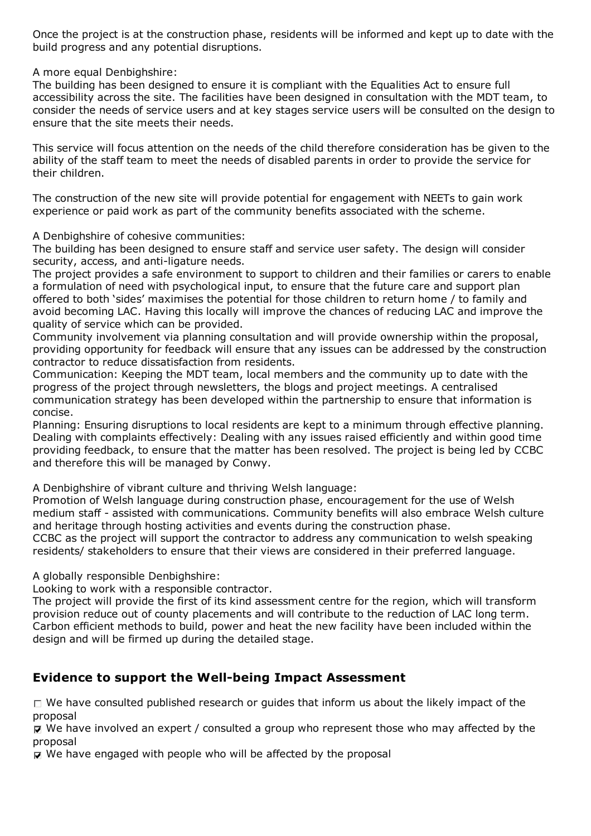Once the project is at the construction phase, residents will be informed and kept up to date with the build progress and any potential disruptions.

A more equal Denbighshire:

The building has been designed to ensure it is compliant with the Equalities Act to ensure full accessibility across the site. The facilities have been designed in consultation with the MDT team, to consider the needs of service users and at key stages service users will be consulted on the design to ensure that the site meets their needs.

This service will focus attention on the needs of the child therefore consideration has be given to the ability of the staff team to meet the needs of disabled parents in order to provide the service for their children.

The construction of the new site will provide potential for engagement with NEETs to gain work experience or paid work as part of the community benefits associated with the scheme.

A Denbighshire of cohesive communities:

The building has been designed to ensure staff and service user safety. The design will consider security, access, and anti-ligature needs.

The project provides a safe environment to support to children and their families or carers to enable a formulation of need with psychological input, to ensure that the future care and support plan offered to both 'sides' maximises the potential for those children to return home / to family and avoid becoming LAC. Having this locally will improve the chances of reducing LAC and improve the quality of service which can be provided.

Community involvement via planning consultation and will provide ownership within the proposal, providing opportunity for feedback will ensure that any issues can be addressed by the construction contractor to reduce dissatisfaction from residents.

Communication: Keeping the MDT team, local members and the community up to date with the progress of the project through newsletters, the blogs and project meetings. A centralised communication strategy has been developed within the partnership to ensure that information is concise.

Planning: Ensuring disruptions to local residents are kept to a minimum through effective planning. Dealing with complaints effectively: Dealing with any issues raised efficiently and within good time providing feedback, to ensure that the matter has been resolved. The project is being led by CCBC and therefore this will be managed by Conwy.

A Denbighshire of vibrant culture and thriving Welsh language:

Promotion of Welsh language during construction phase, encouragement for the use of Welsh medium staff - assisted with communications. Community benefits will also embrace Welsh culture and heritage through hosting activities and events during the construction phase.

CCBC as the project will support the contractor to address any communication to welsh speaking residents/ stakeholders to ensure that their views are considered in their preferred language.

A globally responsible Denbighshire:

Looking to work with a responsible contractor.

The project will provide the first of its kind assessment centre for the region, which will transform provision reduce out of county placements and will contribute to the reduction of LAC long term. Carbon efficient methods to build, power and heat the new facility have been included within the design and will be firmed up during the detailed stage.

#### **Evidence to support the Well-being Impact Assessment**

 $\Box$  We have consulted published research or quides that inform us about the likely impact of the proposal

 $\mathbf F$  We have involved an expert / consulted a group who represent those who may affected by the proposal

 $\nabla$  We have engaged with people who will be affected by the proposal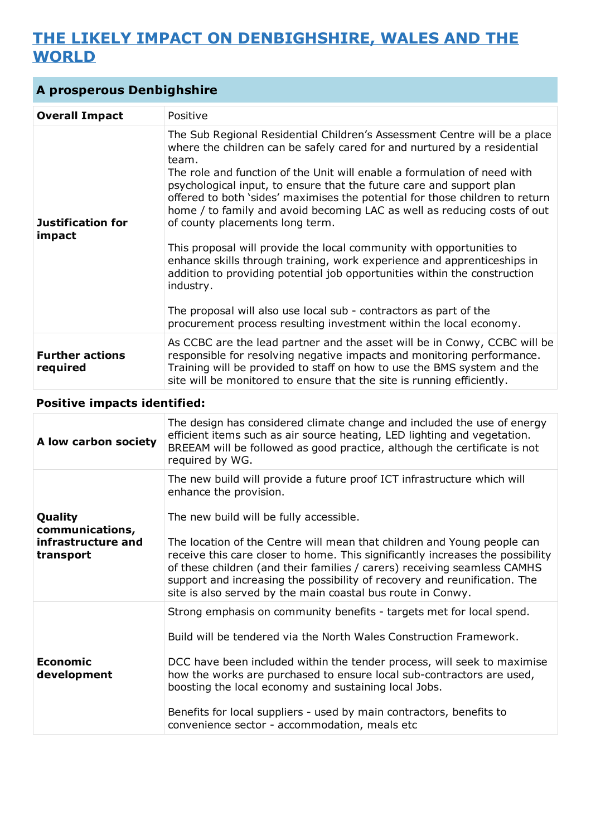## **THE LIKELY IMPACT ON DENBIGHSHIRE, WALES AND THE WORLD**

| A prosperous Denbighshire          |                                                                                                                                                                                                                                                                                                                                                                                                                                                                                                                                                                                                                                                                                                                                                                                                                                                                                                           |
|------------------------------------|-----------------------------------------------------------------------------------------------------------------------------------------------------------------------------------------------------------------------------------------------------------------------------------------------------------------------------------------------------------------------------------------------------------------------------------------------------------------------------------------------------------------------------------------------------------------------------------------------------------------------------------------------------------------------------------------------------------------------------------------------------------------------------------------------------------------------------------------------------------------------------------------------------------|
| <b>Overall Impact</b>              | Positive                                                                                                                                                                                                                                                                                                                                                                                                                                                                                                                                                                                                                                                                                                                                                                                                                                                                                                  |
| <b>Justification for</b><br>impact | The Sub Regional Residential Children's Assessment Centre will be a place<br>where the children can be safely cared for and nurtured by a residential<br>team.<br>The role and function of the Unit will enable a formulation of need with<br>psychological input, to ensure that the future care and support plan<br>offered to both 'sides' maximises the potential for those children to return<br>home / to family and avoid becoming LAC as well as reducing costs of out<br>of county placements long term.<br>This proposal will provide the local community with opportunities to<br>enhance skills through training, work experience and apprenticeships in<br>addition to providing potential job opportunities within the construction<br>industry.<br>The proposal will also use local sub - contractors as part of the<br>procurement process resulting investment within the local economy. |
| <b>Further actions</b><br>required | As CCBC are the lead partner and the asset will be in Conwy, CCBC will be<br>responsible for resolving negative impacts and monitoring performance.<br>Training will be provided to staff on how to use the BMS system and the<br>site will be monitored to ensure that the site is running efficiently.                                                                                                                                                                                                                                                                                                                                                                                                                                                                                                                                                                                                  |

#### **Positive impacts identified:**

| A low carbon society                                          | The design has considered climate change and included the use of energy<br>efficient items such as air source heating, LED lighting and vegetation.<br>BREEAM will be followed as good practice, although the certificate is not<br>required by WG.                                                                                                                                                                                                                                                                               |
|---------------------------------------------------------------|-----------------------------------------------------------------------------------------------------------------------------------------------------------------------------------------------------------------------------------------------------------------------------------------------------------------------------------------------------------------------------------------------------------------------------------------------------------------------------------------------------------------------------------|
| Quality<br>communications,<br>infrastructure and<br>transport | The new build will provide a future proof ICT infrastructure which will<br>enhance the provision.<br>The new build will be fully accessible.<br>The location of the Centre will mean that children and Young people can<br>receive this care closer to home. This significantly increases the possibility<br>of these children (and their families / carers) receiving seamless CAMHS<br>support and increasing the possibility of recovery and reunification. The<br>site is also served by the main coastal bus route in Conwy. |
| Economic<br>development                                       | Strong emphasis on community benefits - targets met for local spend.<br>Build will be tendered via the North Wales Construction Framework.<br>DCC have been included within the tender process, will seek to maximise<br>how the works are purchased to ensure local sub-contractors are used,<br>boosting the local economy and sustaining local Jobs.<br>Benefits for local suppliers - used by main contractors, benefits to<br>convenience sector - accommodation, meals etc                                                  |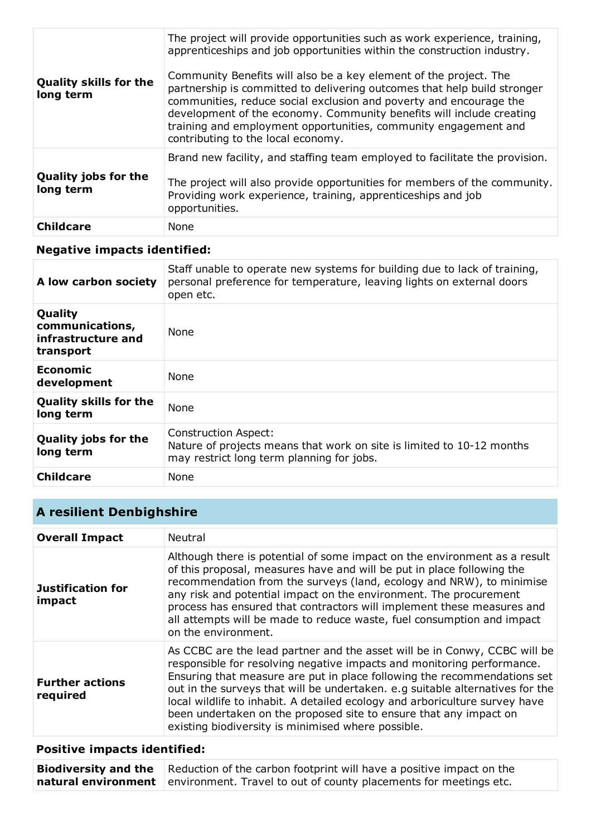| <b>Quality skills for the</b><br>long term | The project will provide opportunities such as work experience, training,<br>apprenticeships and job opportunities within the construction industry.<br>Community Benefits will also be a key element of the project. The<br>partnership is committed to delivering outcomes that help build stronger<br>communities, reduce social exclusion and poverty and encourage the<br>development of the economy. Community benefits will include creating<br>training and employment opportunities, community engagement and<br>contributing to the local economy. |
|--------------------------------------------|--------------------------------------------------------------------------------------------------------------------------------------------------------------------------------------------------------------------------------------------------------------------------------------------------------------------------------------------------------------------------------------------------------------------------------------------------------------------------------------------------------------------------------------------------------------|
| <b>Quality jobs for the</b><br>long term   | Brand new facility, and staffing team employed to facilitate the provision.<br>The project will also provide opportunities for members of the community.<br>Providing work experience, training, apprenticeships and job<br>opportunities.                                                                                                                                                                                                                                                                                                                   |
| <b>Childcare</b>                           | <b>None</b>                                                                                                                                                                                                                                                                                                                                                                                                                                                                                                                                                  |

#### **Negative impacts identified:**

| A low carbon society                                          | Staff unable to operate new systems for building due to lack of training,<br>personal preference for temperature, leaving lights on external doors<br>open etc. |
|---------------------------------------------------------------|-----------------------------------------------------------------------------------------------------------------------------------------------------------------|
| Quality<br>communications,<br>infrastructure and<br>transport | <b>None</b>                                                                                                                                                     |
| <b>Economic</b><br>development                                | <b>None</b>                                                                                                                                                     |
| <b>Quality skills for the</b><br>long term                    | <b>None</b>                                                                                                                                                     |
| <b>Quality jobs for the</b><br>long term                      | <b>Construction Aspect:</b><br>Nature of projects means that work on site is limited to 10-12 months<br>may restrict long term planning for jobs.               |
| <b>Childcare</b>                                              | <b>None</b>                                                                                                                                                     |

## **A resilient Denbighshire**

| <b>Overall Impact</b>              | Neutral                                                                                                                                                                                                                                                                                                                                                                                                                                                                                                                    |
|------------------------------------|----------------------------------------------------------------------------------------------------------------------------------------------------------------------------------------------------------------------------------------------------------------------------------------------------------------------------------------------------------------------------------------------------------------------------------------------------------------------------------------------------------------------------|
| <b>Justification for</b><br>impact | Although there is potential of some impact on the environment as a result<br>of this proposal, measures have and will be put in place following the<br>recommendation from the surveys (land, ecology and NRW), to minimise<br>any risk and potential impact on the environment. The procurement<br>process has ensured that contractors will implement these measures and<br>all attempts will be made to reduce waste, fuel consumption and impact<br>on the environment.                                                |
| <b>Further actions</b><br>required | As CCBC are the lead partner and the asset will be in Conwy, CCBC will be<br>responsible for resolving negative impacts and monitoring performance.<br>Ensuring that measure are put in place following the recommendations set<br>out in the surveys that will be undertaken. e.g suitable alternatives for the<br>local wildlife to inhabit. A detailed ecology and arboriculture survey have<br>been undertaken on the proposed site to ensure that any impact on<br>existing biodiversity is minimised where possible. |

## **Positive impacts identified:**

| <b>Biodiversity and the</b> Reduction of the carbon footprint will have a positive impact on the |
|--------------------------------------------------------------------------------------------------|
| <b>natural environment</b> environment. Travel to out of county placements for meetings etc.     |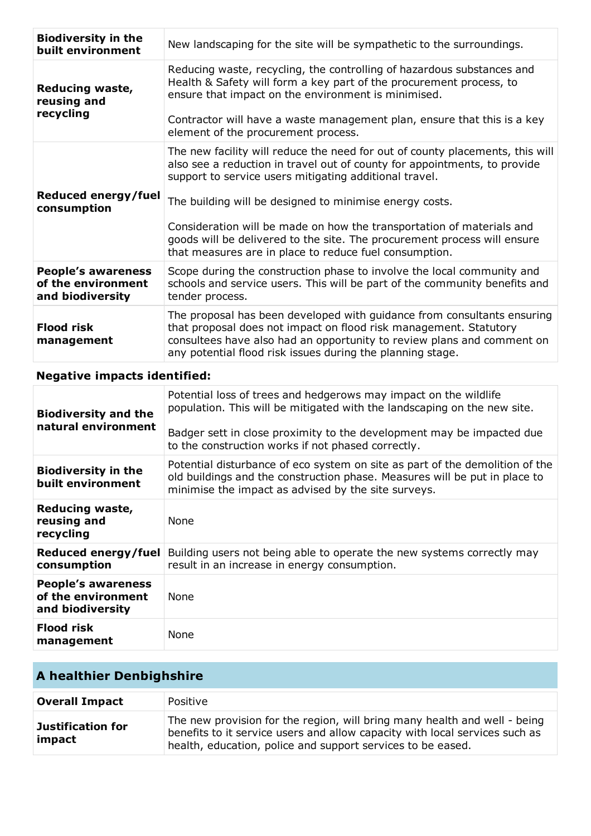| <b>Biodiversity in the</b><br>built environment                     | New landscaping for the site will be sympathetic to the surroundings.                                                                                                                                                                                                                |
|---------------------------------------------------------------------|--------------------------------------------------------------------------------------------------------------------------------------------------------------------------------------------------------------------------------------------------------------------------------------|
| Reducing waste,<br>reusing and<br>recycling                         | Reducing waste, recycling, the controlling of hazardous substances and<br>Health & Safety will form a key part of the procurement process, to<br>ensure that impact on the environment is minimised.<br>Contractor will have a waste management plan, ensure that this is a key      |
|                                                                     | element of the procurement process.                                                                                                                                                                                                                                                  |
|                                                                     | The new facility will reduce the need for out of county placements, this will<br>also see a reduction in travel out of county for appointments, to provide<br>support to service users mitigating additional travel.                                                                 |
| Reduced energy/fuel<br>consumption                                  | The building will be designed to minimise energy costs.                                                                                                                                                                                                                              |
|                                                                     | Consideration will be made on how the transportation of materials and<br>goods will be delivered to the site. The procurement process will ensure<br>that measures are in place to reduce fuel consumption.                                                                          |
| <b>People's awareness</b><br>of the environment<br>and biodiversity | Scope during the construction phase to involve the local community and<br>schools and service users. This will be part of the community benefits and<br>tender process.                                                                                                              |
| <b>Flood risk</b><br>management                                     | The proposal has been developed with guidance from consultants ensuring<br>that proposal does not impact on flood risk management. Statutory<br>consultees have also had an opportunity to review plans and comment on<br>any potential flood risk issues during the planning stage. |
| <b>Negative impacts identified:</b>                                 |                                                                                                                                                                                                                                                                                      |
| <b>Biodiversity and the</b><br>natural environment                  | Potential loss of trees and hedgerows may impact on the wildlife<br>population. This will be mitigated with the landscaping on the new site.                                                                                                                                         |
|                                                                     | Badger sett in close proximity to the development may be impacted due<br>to the construction works if not phased correctly.                                                                                                                                                          |
| <b>Biodiversity in the</b><br>built environment                     | Potential disturbance of eco system on site as part of the demolition of the<br>old buildings and the construction phase. Measures will be put in place to<br>minimise the impact as advised by the site surveys.                                                                    |
| <b>Reducing waste,</b><br>reusing and<br>recycling                  | None                                                                                                                                                                                                                                                                                 |
| Reduced energy/fuel<br>consumption                                  | Building users not being able to operate the new systems correctly may<br>result in an increase in energy consumption.                                                                                                                                                               |
| <b>People's awareness</b><br>of the environment                     | None                                                                                                                                                                                                                                                                                 |

| and biodiversity         |             |
|--------------------------|-------------|
| Flood risk<br>management | <b>None</b> |
|                          |             |

## **A healthier Denbighshire**

| <b>Overall Impact</b>              | Positive                                                                                                                                                                                                                |
|------------------------------------|-------------------------------------------------------------------------------------------------------------------------------------------------------------------------------------------------------------------------|
| <b>Justification for</b><br>impact | The new provision for the region, will bring many health and well - being<br>benefits to it service users and allow capacity with local services such as<br>health, education, police and support services to be eased. |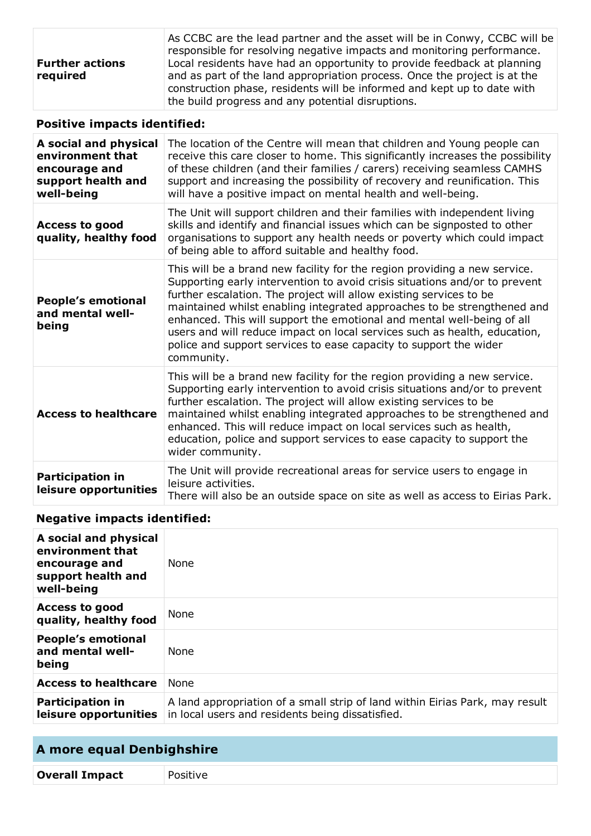|                        | As CCBC are the lead partner and the asset will be in Conwy, CCBC will be<br>responsible for resolving negative impacts and monitoring performance. |
|------------------------|-----------------------------------------------------------------------------------------------------------------------------------------------------|
| <b>Further actions</b> | Local residents have had an opportunity to provide feedback at planning                                                                             |
| required               | and as part of the land appropriation process. Once the project is at the                                                                           |
|                        | construction phase, residents will be informed and kept up to date with                                                                             |
|                        | the build progress and any potential disruptions.                                                                                                   |

#### **Positive impacts identified:**

| A social and physical<br>environment that<br>encourage and<br>support health and<br>well-being | The location of the Centre will mean that children and Young people can<br>receive this care closer to home. This significantly increases the possibility<br>of these children (and their families / carers) receiving seamless CAMHS<br>support and increasing the possibility of recovery and reunification. This<br>will have a positive impact on mental health and well-being.                                                                                                                                                                |
|------------------------------------------------------------------------------------------------|----------------------------------------------------------------------------------------------------------------------------------------------------------------------------------------------------------------------------------------------------------------------------------------------------------------------------------------------------------------------------------------------------------------------------------------------------------------------------------------------------------------------------------------------------|
| <b>Access to good</b><br>quality, healthy food                                                 | The Unit will support children and their families with independent living<br>skills and identify and financial issues which can be signposted to other<br>organisations to support any health needs or poverty which could impact<br>of being able to afford suitable and healthy food.                                                                                                                                                                                                                                                            |
| <b>People's emotional</b><br>and mental well-<br>being                                         | This will be a brand new facility for the region providing a new service.<br>Supporting early intervention to avoid crisis situations and/or to prevent<br>further escalation. The project will allow existing services to be<br>maintained whilst enabling integrated approaches to be strengthened and<br>enhanced. This will support the emotional and mental well-being of all<br>users and will reduce impact on local services such as health, education,<br>police and support services to ease capacity to support the wider<br>community. |
| <b>Access to healthcare</b>                                                                    | This will be a brand new facility for the region providing a new service.<br>Supporting early intervention to avoid crisis situations and/or to prevent<br>further escalation. The project will allow existing services to be<br>maintained whilst enabling integrated approaches to be strengthened and<br>enhanced. This will reduce impact on local services such as health,<br>education, police and support services to ease capacity to support the<br>wider community.                                                                      |
| <b>Participation in</b><br>leisure opportunities                                               | The Unit will provide recreational areas for service users to engage in<br>leisure activities.<br>There will also be an outside space on site as well as access to Eirias Park.                                                                                                                                                                                                                                                                                                                                                                    |

## **Negative impacts identified:**

| A social and physical<br>environment that<br>encourage and<br>support health and<br>well-being | <b>None</b>                                                                                                                      |
|------------------------------------------------------------------------------------------------|----------------------------------------------------------------------------------------------------------------------------------|
| <b>Access to good</b><br>quality, healthy food                                                 | None                                                                                                                             |
| <b>People's emotional</b><br>and mental well-<br>being                                         | None                                                                                                                             |
| <b>Access to healthcare</b>                                                                    | <b>None</b>                                                                                                                      |
| <b>Participation in</b><br>leisure opportunities                                               | A land appropriation of a small strip of land within Eirias Park, may result<br>in local users and residents being dissatisfied. |

## **A more equal Denbighshire Overall Impact** Positive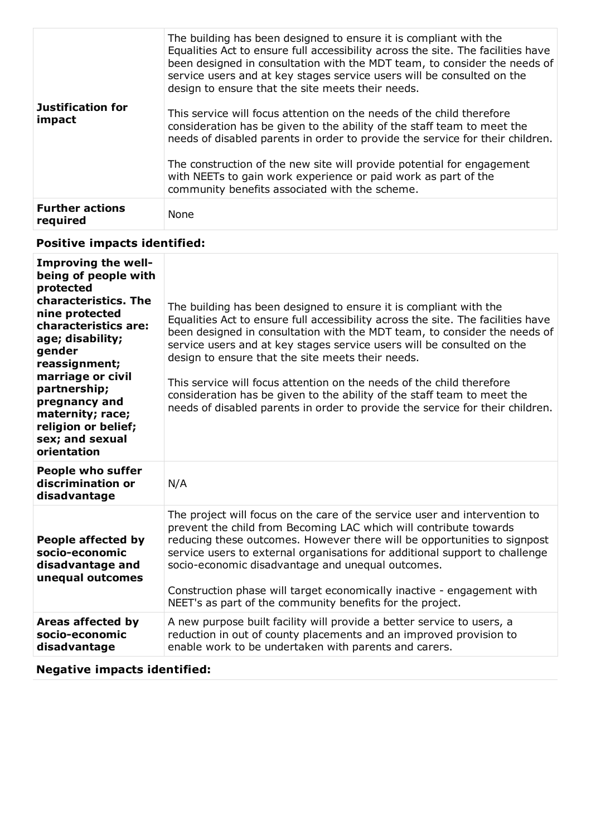| <b>Justification for</b><br>impact | The building has been designed to ensure it is compliant with the<br>Equalities Act to ensure full accessibility across the site. The facilities have<br>been designed in consultation with the MDT team, to consider the needs of<br>service users and at key stages service users will be consulted on the<br>design to ensure that the site meets their needs.<br>This service will focus attention on the needs of the child therefore |
|------------------------------------|--------------------------------------------------------------------------------------------------------------------------------------------------------------------------------------------------------------------------------------------------------------------------------------------------------------------------------------------------------------------------------------------------------------------------------------------|
|                                    | consideration has be given to the ability of the staff team to meet the<br>needs of disabled parents in order to provide the service for their children.                                                                                                                                                                                                                                                                                   |
|                                    | The construction of the new site will provide potential for engagement<br>with NEETs to gain work experience or paid work as part of the<br>community benefits associated with the scheme.                                                                                                                                                                                                                                                 |
| <b>Further actions</b><br>required | None                                                                                                                                                                                                                                                                                                                                                                                                                                       |

#### **Positive impacts identified:**

| <b>Improving the well-</b><br>being of people with<br>protected<br>characteristics. The<br>nine protected<br>characteristics are:<br>age; disability;<br>gender<br>reassignment;<br>marriage or civil<br>partnership;<br>pregnancy and<br>maternity; race;<br>religion or belief;<br>sex; and sexual<br>orientation | The building has been designed to ensure it is compliant with the<br>Equalities Act to ensure full accessibility across the site. The facilities have<br>been designed in consultation with the MDT team, to consider the needs of<br>service users and at key stages service users will be consulted on the<br>design to ensure that the site meets their needs.<br>This service will focus attention on the needs of the child therefore<br>consideration has be given to the ability of the staff team to meet the<br>needs of disabled parents in order to provide the service for their children. |
|---------------------------------------------------------------------------------------------------------------------------------------------------------------------------------------------------------------------------------------------------------------------------------------------------------------------|--------------------------------------------------------------------------------------------------------------------------------------------------------------------------------------------------------------------------------------------------------------------------------------------------------------------------------------------------------------------------------------------------------------------------------------------------------------------------------------------------------------------------------------------------------------------------------------------------------|
| <b>People who suffer</b><br>discrimination or<br>disadvantage                                                                                                                                                                                                                                                       | N/A                                                                                                                                                                                                                                                                                                                                                                                                                                                                                                                                                                                                    |
| People affected by<br>socio-economic<br>disadvantage and<br>unequal outcomes                                                                                                                                                                                                                                        | The project will focus on the care of the service user and intervention to<br>prevent the child from Becoming LAC which will contribute towards<br>reducing these outcomes. However there will be opportunities to signpost<br>service users to external organisations for additional support to challenge<br>socio-economic disadvantage and unequal outcomes.<br>Construction phase will target economically inactive - engagement with<br>NEET's as part of the community benefits for the project.                                                                                                 |
| Areas affected by<br>socio-economic<br>disadvantage                                                                                                                                                                                                                                                                 | A new purpose built facility will provide a better service to users, a<br>reduction in out of county placements and an improved provision to<br>enable work to be undertaken with parents and carers.                                                                                                                                                                                                                                                                                                                                                                                                  |

#### **Negative impacts identified:**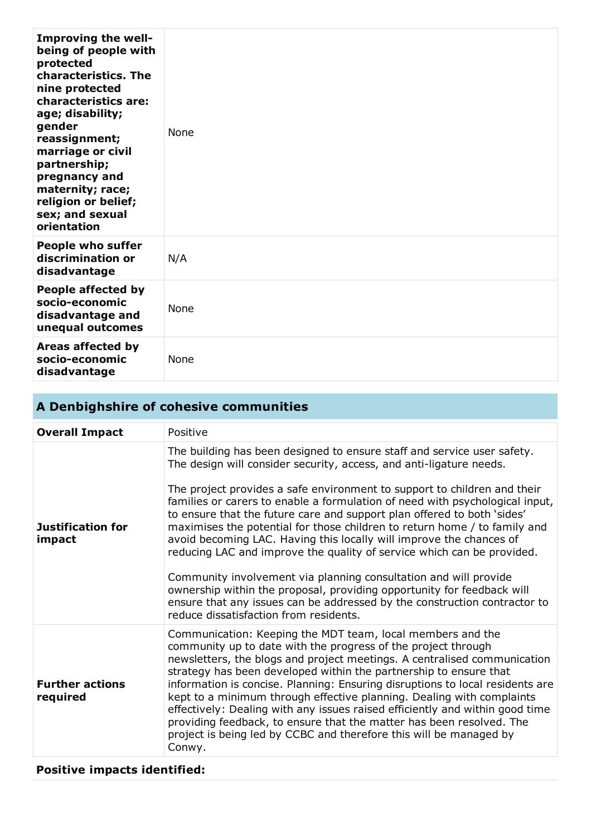| Improving the well-<br>being of people with<br>protected<br>characteristics. The<br>nine protected<br>characteristics are:<br>age; disability;<br>gender<br>reassignment;<br>marriage or civil<br>partnership;<br>pregnancy and<br>maternity; race;<br>religion or belief;<br>sex; and sexual<br>orientation | <b>None</b> |
|--------------------------------------------------------------------------------------------------------------------------------------------------------------------------------------------------------------------------------------------------------------------------------------------------------------|-------------|
| <b>People who suffer</b><br>discrimination or<br>disadvantage                                                                                                                                                                                                                                                | N/A         |
| People affected by<br>socio-economic<br>disadvantage and<br>unequal outcomes                                                                                                                                                                                                                                 | None        |
| Areas affected by<br>socio-economic<br>disadvantage                                                                                                                                                                                                                                                          | None        |

## **A Denbighshire of cohesive communities**

| <b>Overall Impact</b>              | Positive                                                                                                                                                                                                                                                                                                                                                                                                                                                                                                                                                                                                                                                                                                                                                                                                                                                                                 |
|------------------------------------|------------------------------------------------------------------------------------------------------------------------------------------------------------------------------------------------------------------------------------------------------------------------------------------------------------------------------------------------------------------------------------------------------------------------------------------------------------------------------------------------------------------------------------------------------------------------------------------------------------------------------------------------------------------------------------------------------------------------------------------------------------------------------------------------------------------------------------------------------------------------------------------|
| <b>Justification for</b><br>impact | The building has been designed to ensure staff and service user safety.<br>The design will consider security, access, and anti-ligature needs.<br>The project provides a safe environment to support to children and their<br>families or carers to enable a formulation of need with psychological input,<br>to ensure that the future care and support plan offered to both 'sides'<br>maximises the potential for those children to return home / to family and<br>avoid becoming LAC. Having this locally will improve the chances of<br>reducing LAC and improve the quality of service which can be provided.<br>Community involvement via planning consultation and will provide<br>ownership within the proposal, providing opportunity for feedback will<br>ensure that any issues can be addressed by the construction contractor to<br>reduce dissatisfaction from residents. |
| <b>Further actions</b><br>required | Communication: Keeping the MDT team, local members and the<br>community up to date with the progress of the project through<br>newsletters, the blogs and project meetings. A centralised communication<br>strategy has been developed within the partnership to ensure that<br>information is concise. Planning: Ensuring disruptions to local residents are<br>kept to a minimum through effective planning. Dealing with complaints<br>effectively: Dealing with any issues raised efficiently and within good time<br>providing feedback, to ensure that the matter has been resolved. The<br>project is being led by CCBC and therefore this will be managed by<br>Conwy.                                                                                                                                                                                                           |

## **Positive impacts identified:**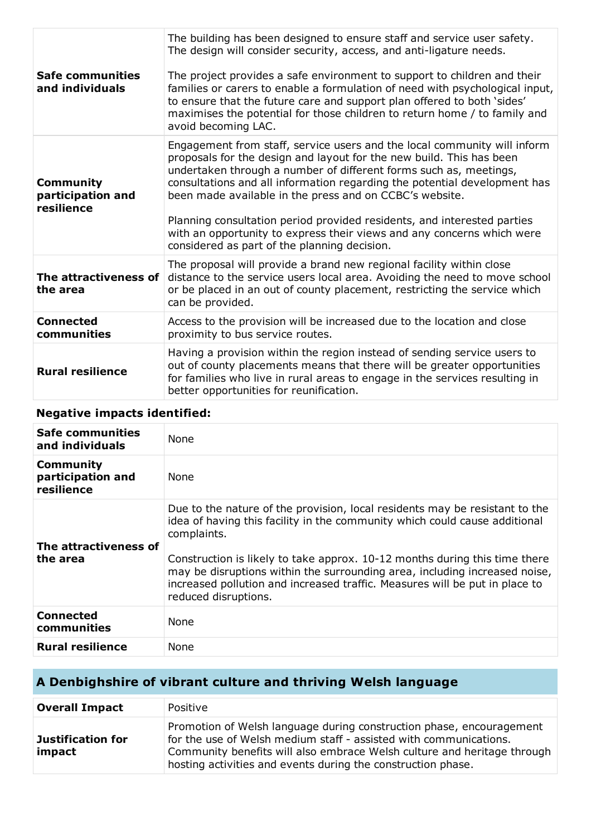| <b>Safe communities</b><br>and individuals          | The building has been designed to ensure staff and service user safety.<br>The design will consider security, access, and anti-ligature needs.<br>The project provides a safe environment to support to children and their<br>families or carers to enable a formulation of need with psychological input,<br>to ensure that the future care and support plan offered to both 'sides'<br>maximises the potential for those children to return home / to family and<br>avoid becoming LAC.                                                                          |
|-----------------------------------------------------|--------------------------------------------------------------------------------------------------------------------------------------------------------------------------------------------------------------------------------------------------------------------------------------------------------------------------------------------------------------------------------------------------------------------------------------------------------------------------------------------------------------------------------------------------------------------|
| <b>Community</b><br>participation and<br>resilience | Engagement from staff, service users and the local community will inform<br>proposals for the design and layout for the new build. This has been<br>undertaken through a number of different forms such as, meetings,<br>consultations and all information regarding the potential development has<br>been made available in the press and on CCBC's website.<br>Planning consultation period provided residents, and interested parties<br>with an opportunity to express their views and any concerns which were<br>considered as part of the planning decision. |
| The attractiveness of<br>the area                   | The proposal will provide a brand new regional facility within close<br>distance to the service users local area. Avoiding the need to move school<br>or be placed in an out of county placement, restricting the service which<br>can be provided.                                                                                                                                                                                                                                                                                                                |
| <b>Connected</b><br>communities                     | Access to the provision will be increased due to the location and close<br>proximity to bus service routes.                                                                                                                                                                                                                                                                                                                                                                                                                                                        |
| <b>Rural resilience</b>                             | Having a provision within the region instead of sending service users to<br>out of county placements means that there will be greater opportunities<br>for families who live in rural areas to engage in the services resulting in<br>better opportunities for reunification.                                                                                                                                                                                                                                                                                      |

## **Negative impacts identified:**

| <b>Safe communities</b><br>and individuals          | <b>None</b>                                                                                                                                                                                                                                                                                                                                                                                                                                 |
|-----------------------------------------------------|---------------------------------------------------------------------------------------------------------------------------------------------------------------------------------------------------------------------------------------------------------------------------------------------------------------------------------------------------------------------------------------------------------------------------------------------|
| <b>Community</b><br>participation and<br>resilience | <b>None</b>                                                                                                                                                                                                                                                                                                                                                                                                                                 |
| The attractiveness of<br>the area                   | Due to the nature of the provision, local residents may be resistant to the<br>idea of having this facility in the community which could cause additional<br>complaints.<br>Construction is likely to take approx. 10-12 months during this time there<br>may be disruptions within the surrounding area, including increased noise,<br>increased pollution and increased traffic. Measures will be put in place to<br>reduced disruptions. |
| <b>Connected</b><br>communities                     | <b>None</b>                                                                                                                                                                                                                                                                                                                                                                                                                                 |
| <b>Rural resilience</b>                             | <b>None</b>                                                                                                                                                                                                                                                                                                                                                                                                                                 |

## **A Denbighshire of vibrant culture and thriving Welsh language**

| <b>Overall Impact</b>              | Positive                                                                                                                                                                                                                                                                             |
|------------------------------------|--------------------------------------------------------------------------------------------------------------------------------------------------------------------------------------------------------------------------------------------------------------------------------------|
| <b>Justification for</b><br>impact | Promotion of Welsh language during construction phase, encouragement<br>for the use of Welsh medium staff - assisted with communications.<br>Community benefits will also embrace Welsh culture and heritage through<br>hosting activities and events during the construction phase. |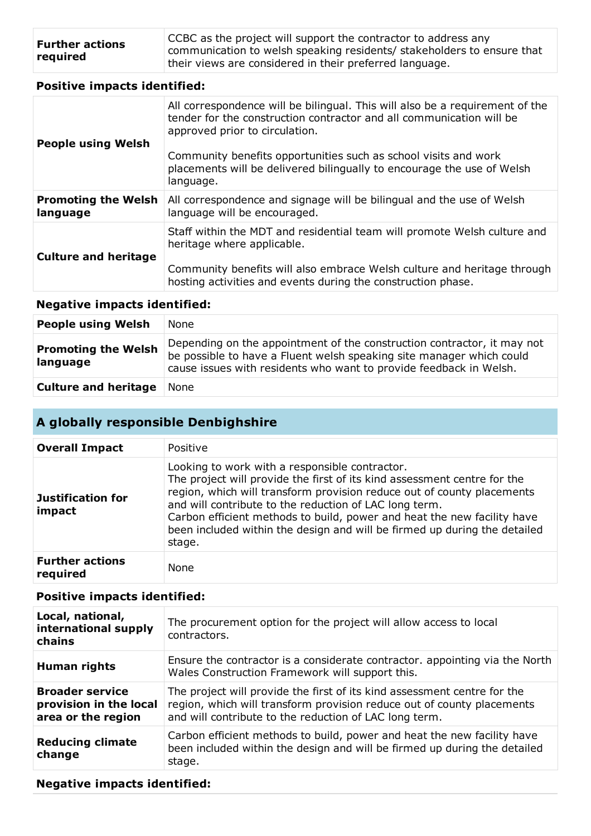| <b>Further actions</b> | CCBC as the project will support the contractor to address any         |
|------------------------|------------------------------------------------------------------------|
| required               | communication to welsh speaking residents/ stakeholders to ensure that |
|                        | I their views are considered in their preferred language.              |

#### **Positive impacts identified:**

| <b>People using Welsh</b>              | All correspondence will be bilingual. This will also be a requirement of the<br>tender for the construction contractor and all communication will be<br>approved prior to circulation.<br>Community benefits opportunities such as school visits and work<br>placements will be delivered bilingually to encourage the use of Welsh<br>language. |
|----------------------------------------|--------------------------------------------------------------------------------------------------------------------------------------------------------------------------------------------------------------------------------------------------------------------------------------------------------------------------------------------------|
| <b>Promoting the Welsh</b><br>language | All correspondence and signage will be bilingual and the use of Welsh<br>language will be encouraged.                                                                                                                                                                                                                                            |
| <b>Culture and heritage</b>            | Staff within the MDT and residential team will promote Welsh culture and<br>heritage where applicable.<br>Community benefits will also embrace Welsh culture and heritage through<br>hosting activities and events during the construction phase.                                                                                                |

#### **Negative impacts identified:**

| <b>People using Welsh</b>              | None                                                                                                                                                                                                                  |
|----------------------------------------|-----------------------------------------------------------------------------------------------------------------------------------------------------------------------------------------------------------------------|
| <b>Promoting the Welsh</b><br>language | Depending on the appointment of the construction contractor, it may not<br>be possible to have a Fluent welsh speaking site manager which could<br>cause issues with residents who want to provide feedback in Welsh. |
| <b>Culture and heritage</b>            | None                                                                                                                                                                                                                  |

## **A globally responsible Denbighshire**

| <b>Overall Impact</b>              | Positive                                                                                                                                                                                                                                                                                                                                                                                                                         |
|------------------------------------|----------------------------------------------------------------------------------------------------------------------------------------------------------------------------------------------------------------------------------------------------------------------------------------------------------------------------------------------------------------------------------------------------------------------------------|
| <b>Justification for</b><br>impact | Looking to work with a responsible contractor.<br>The project will provide the first of its kind assessment centre for the<br>region, which will transform provision reduce out of county placements<br>and will contribute to the reduction of LAC long term.<br>Carbon efficient methods to build, power and heat the new facility have<br>been included within the design and will be firmed up during the detailed<br>stage. |
| <b>Further actions</b><br>required | <b>None</b>                                                                                                                                                                                                                                                                                                                                                                                                                      |

#### **Positive impacts identified:**

| Local, national,<br>international supply<br>chains                     | The procurement option for the project will allow access to local<br>contractors.                                                                                                                            |
|------------------------------------------------------------------------|--------------------------------------------------------------------------------------------------------------------------------------------------------------------------------------------------------------|
| Human rights                                                           | Ensure the contractor is a considerate contractor, appointing via the North<br>Wales Construction Framework will support this.                                                                               |
| <b>Broader service</b><br>provision in the local<br>area or the region | The project will provide the first of its kind assessment centre for the<br>region, which will transform provision reduce out of county placements<br>and will contribute to the reduction of LAC long term. |
| <b>Reducing climate</b><br>change                                      | Carbon efficient methods to build, power and heat the new facility have<br>been included within the design and will be firmed up during the detailed<br>stage.                                               |

#### **Negative impacts identified:**